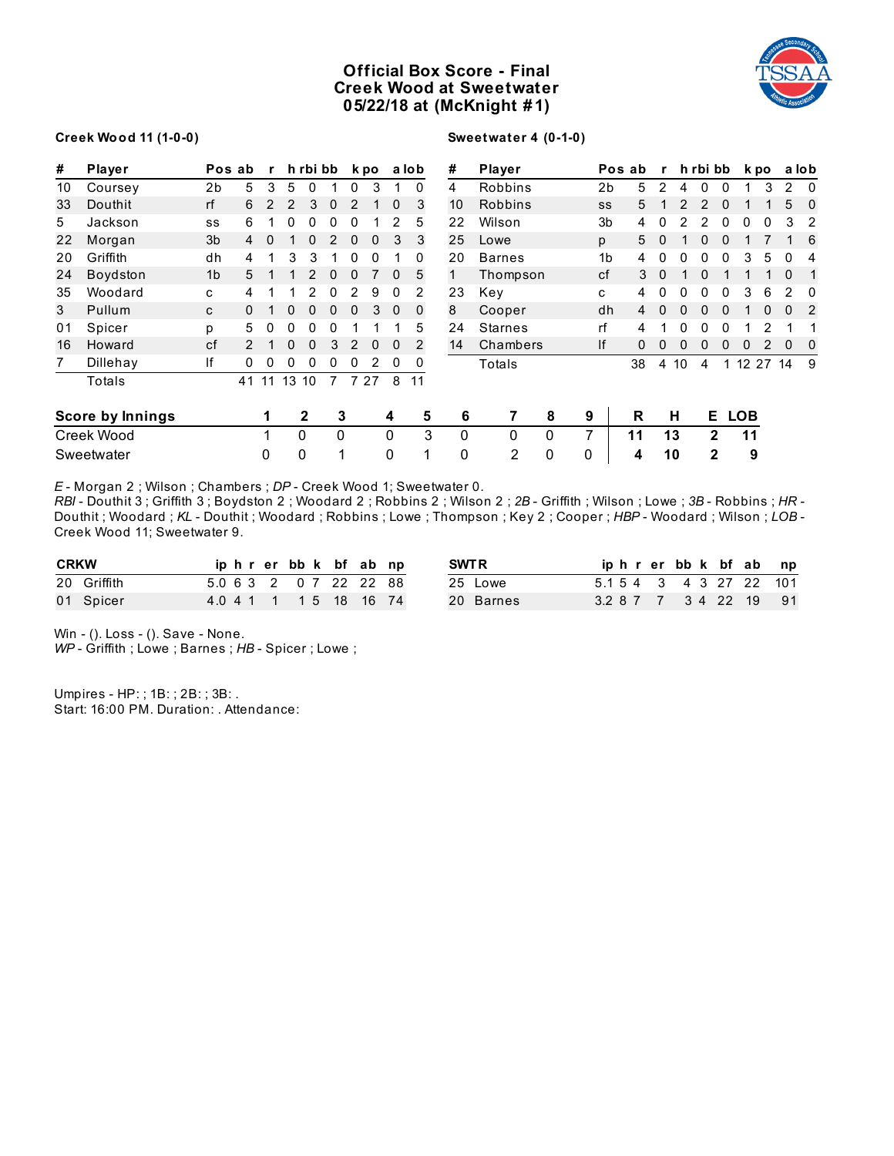# **Official Box Score - Final Creek Wood at Sweetwater 05/22/18 at (McKnight # 1)**



#### **Creek Wood 11 (1-0-0)**

# **Sweetwater 4 (0-1-0)**

| #  | Player                  |                | Pos ab | r  |    | h rbi bb      |          |          | k po         |          | a lob    | #  | Player         |              |                | Pos ab | $\mathbf{r}$ |    |   | h rbi bb       |         | k po |          | a lob          |
|----|-------------------------|----------------|--------|----|----|---------------|----------|----------|--------------|----------|----------|----|----------------|--------------|----------------|--------|--------------|----|---|----------------|---------|------|----------|----------------|
| 10 | Coursey                 | 2b             | 5      | 3  | 5  | 0             |          | 0        | 3            |          | 0        | 4  | Robbins        |              | 2 <sub>b</sub> | 5      | 2            | 4  | 0 | $\Omega$       |         | 3    | 2        | $\Omega$       |
| 33 | Douthit                 | rf             | 6      | 2  | 2  | 3             | $\Omega$ |          |              | $\Omega$ | 3        | 10 | Robbins        |              | SS             | 5      |              |    | 2 | 0              |         |      | 5        | $\Omega$       |
| 5  | Jackson                 | SS             | 6      |    | 0  | 0             |          |          |              |          | 5        | 22 | Wilson         |              | 3b             | 4      |              |    |   |                | 0       |      | 3        | 2              |
| 22 | Morgan                  | 3b             | 4      | 0  |    | 0             |          | $\Omega$ | $\mathbf{0}$ | 3        | 3        | 25 | Lowe           |              | p              | 5      | $\Omega$     |    | 0 | 0              |         |      |          | 6              |
| 20 | Griffith                | dh             | 4      |    | 3  | 3             |          | 0        | 0            |          | 0        | 20 | <b>Barnes</b>  |              | 1 <sub>b</sub> | 4      | 0            | 0  | 0 | 0              | 3       | 5    | 0        | 4              |
| 24 | Boydston                | 1 <sub>b</sub> | 5      |    |    | $\mathcal{P}$ | $\Omega$ | $\Omega$ |              | $\Omega$ | 5        |    | Thompson       |              | cf             | 3      | $\Omega$     |    | 0 |                |         |      | $\Omega$ |                |
| 35 | Woodard                 | C              | 4      |    |    |               | 0        |          | 9            | 0        | 2        | 23 | Key            |              | C              | 4      | 0            |    | ი | O              | 3       | 6    |          | 0              |
| 3  | Pullum                  | C              |        |    | 0  | $\mathbf{0}$  | 0        | $\Omega$ | 3            | $\Omega$ | $\Omega$ | 8  | Cooper         |              | dh             | 4      |              |    |   |                |         |      | $\Omega$ | $\overline{2}$ |
| 01 | Spicer                  | р              | 5      | 0  | 0  | 0             | 0        |          |              |          | 5        | 24 | <b>Starnes</b> |              | rf             | 4      |              |    |   |                |         |      |          |                |
| 16 | Howard                  | cf             |        |    | 0  | 0             | 3        |          | $\mathbf{0}$ | 0        | 2        | 14 | Chambers       |              | lf             | 0      | 0            | 0  | U | 0              | 0       |      | $\Omega$ | 0              |
| 7  | Dillehay                | lf             | 0      | 0  | 0  | 0             | 0        | 0        | 2            | 0        | 0        |    | Totals         |              |                | 38     | 4            | 10 | 4 |                | 1 12 27 |      | 14       | 9              |
|    | Totals                  |                | 41     | 11 | 13 | 10            | 7        | 7        | 27           | 8        | 11       |    |                |              |                |        |              |    |   |                |         |      |          |                |
|    | <b>Score by Innings</b> |                |        |    |    | 2             | 3        |          |              | 4        | 5        | 6  |                | 8            | 9              | R      |              | н  |   | E LOB          |         |      |          |                |
|    | Creek Wood              |                |        | 1  |    | 0             | 0        |          |              | 0        | 3        | 0  | $\mathbf{0}$   | $\mathbf{0}$ | 7              | 11     |              | 13 |   | $\overline{2}$ | 11      |      |          |                |
|    | Sweetwater              |                |        | 0  |    | 0             | 4        |          |              | 0        | 1        | 0  | 2              | 0            | 0              | 4      |              | 10 |   | $\mathbf{2}$   | 9       |      |          |                |

*E* - Morgan 2 ; Wilson ; Chambers ; *DP* - Creek Wood 1; Sweetwater 0.

*RBI* - Douthit 3 ; Griffith 3 ; Boydston 2 ; Woodard 2 ; Robbins 2 ; Wilson 2 ; *2B* - Griffith ; Wilson ; Lowe ; *3B* - Robbins ; *HR* - Douthit ; Woodard ; *KL* - Douthit ; Woodard ; Robbins ; Lowe ; Thompson ; Key 2 ; Cooper ; *HBP* - Woodard ; Wilson ; *LOB* - Creek Wood 11; Sweetwater 9.

| <b>CRKW</b> | iphrerbbk bfabnp         |  |  | <b>SWTR</b> | iphrerbbk bfabnp        |  |  |  |
|-------------|--------------------------|--|--|-------------|-------------------------|--|--|--|
| 20 Griffith | 5.0 6 3 2 0 7 22 22 88   |  |  | 25 Lowe     | 5.1 5 4 3 4 3 27 22 101 |  |  |  |
| 01 Spicer   | 4.0 4 1 1 1 1 5 18 16 74 |  |  | 20 Barnes   | 3.2 8 7 7 3 4 22 19 91  |  |  |  |

Win - (). Loss - (). Save - None.

*WP* - Griffith ; Lowe ; Barnes ; *HB* - Spicer ; Lowe ;

Umpires - HP: ; 1B: ; 2B: ; 3B: . Start: 16:00 PM. Duration: . Attendance: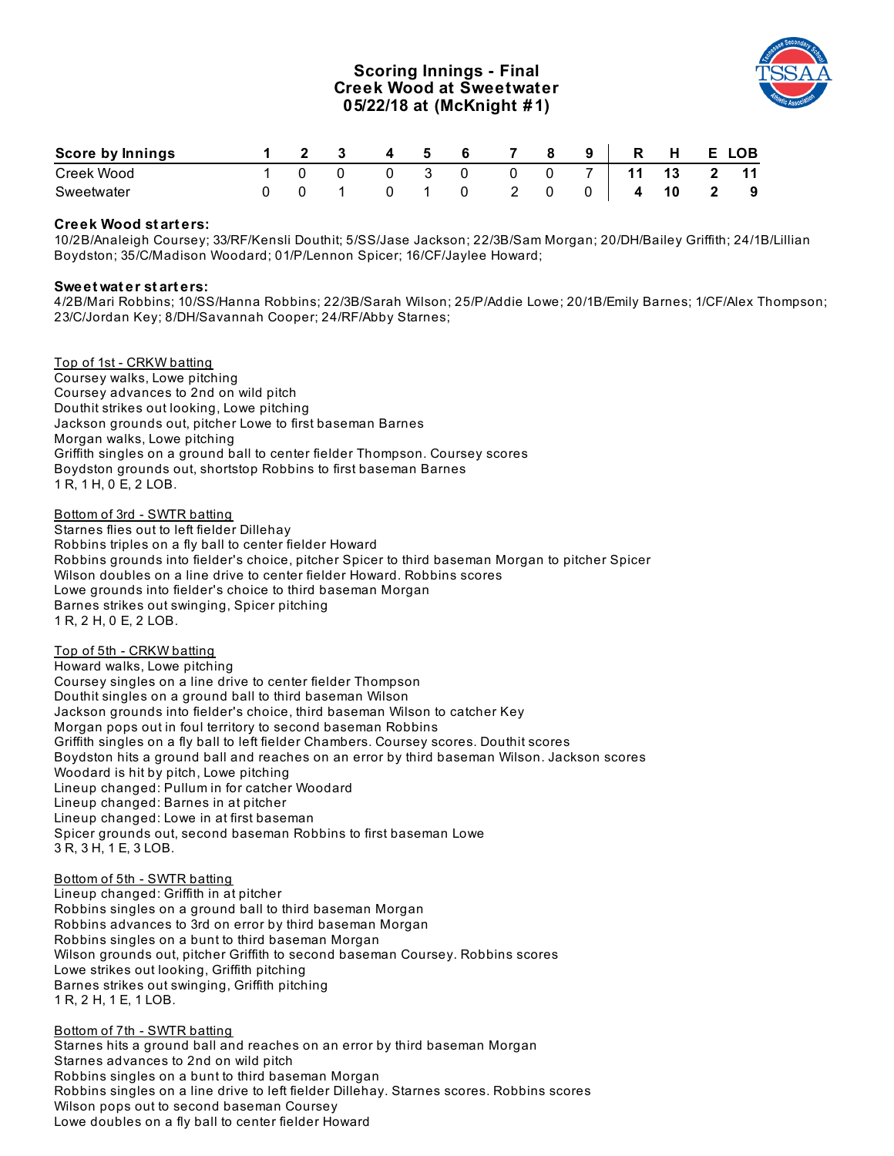# **Scoring Innings - Final Creek Wood at Sweetwater 05/22/18 at (McKnight # 1)**



| <b>Score by Innings</b> |  | 4 5 | 6 7 |     |   |                | 9 R H E LOB |              |                          |
|-------------------------|--|-----|-----|-----|---|----------------|-------------|--------------|--------------------------|
| Creek Wood              |  |     |     |     | 0 |                | 11          | 13 2 11      |                          |
| Sweetwater              |  |     |     | 2 0 |   | 0 <sub>1</sub> | 4           | $10\qquad 2$ | $\overline{\phantom{a}}$ |

### **Creek Wood st art ers:**

10/2B/Analeigh Coursey; 33/RF/Kensli Douthit; 5/SS/Jase Jackson; 22/3B/Sam Morgan; 20/DH/Bailey Griffith; 24/1B/Lillian Boydston; 35/C/Madison Woodard; 01/P/Lennon Spicer; 16/CF/Jaylee Howard;

### **Sweet wat er st art ers:**

4/2B/Mari Robbins; 10/SS/Hanna Robbins; 22/3B/Sarah Wilson; 25/P/Addie Lowe; 20/1B/Emily Barnes; 1/CF/Alex Thompson; 23/C/Jordan Key; 8/DH/Savannah Cooper; 24/RF/Abby Starnes;

Top of 1st - CRKW batting Coursey walks, Lowe pitching Coursey advances to 2nd on wild pitch Douthit strikes out looking, Lowe pitching Jackson grounds out, pitcher Lowe to first baseman Barnes Morgan walks, Lowe pitching Griffith singles on a ground ball to center fielder Thompson. Coursey scores Boydston grounds out, shortstop Robbins to first baseman Barnes 1 R, 1 H, 0 E, 2 LOB.

Bottom of 3rd - SWTR batting Starnes flies out to left fielder Dillehay Robbins triples on a fly ball to center fielder Howard Robbins grounds into fielder's choice, pitcher Spicer to third baseman Morgan to pitcher Spicer Wilson doubles on a line drive to center fielder Howard. Robbins scores Lowe grounds into fielder's choice to third baseman Morgan Barnes strikes out swinging, Spicer pitching 1 R, 2 H, 0 E, 2 LOB.

### Top of 5th - CRKW batting

Howard walks, Lowe pitching Coursey singles on a line drive to center fielder Thompson Douthit singles on a ground ball to third baseman Wilson Jackson grounds into fielder's choice, third baseman Wilson to catcher Key Morgan pops out in foul territory to second baseman Robbins Griffith singles on a fly ball to left fielder Chambers. Coursey scores. Douthit scores Boydston hits a ground ball and reaches on an error by third baseman Wilson. Jackson scores Woodard is hit by pitch, Lowe pitching Lineup changed: Pullum in for catcher Woodard Lineup changed: Barnes in at pitcher Lineup changed: Lowe in at first baseman Spicer grounds out, second baseman Robbins to first baseman Lowe 3 R, 3 H, 1 E, 3 LOB.

#### Bottom of 5th - SWTR batting

Lineup changed: Griffith in at pitcher Robbins singles on a ground ball to third baseman Morgan Robbins advances to 3rd on error by third baseman Morgan Robbins singles on a bunt to third baseman Morgan Wilson grounds out, pitcher Griffith to second baseman Coursey. Robbins scores Lowe strikes out looking, Griffith pitching Barnes strikes out swinging, Griffith pitching 1 R, 2 H, 1 E, 1 LOB.

Bottom of 7th - SWTR batting Starnes hits a ground ball and reaches on an error by third baseman Morgan Starnes advances to 2nd on wild pitch Robbins singles on a bunt to third baseman Morgan Robbins singles on a line drive to left fielder Dillehay. Starnes scores. Robbins scores Wilson pops out to second baseman Coursey Lowe doubles on a fly ball to center fielder Howard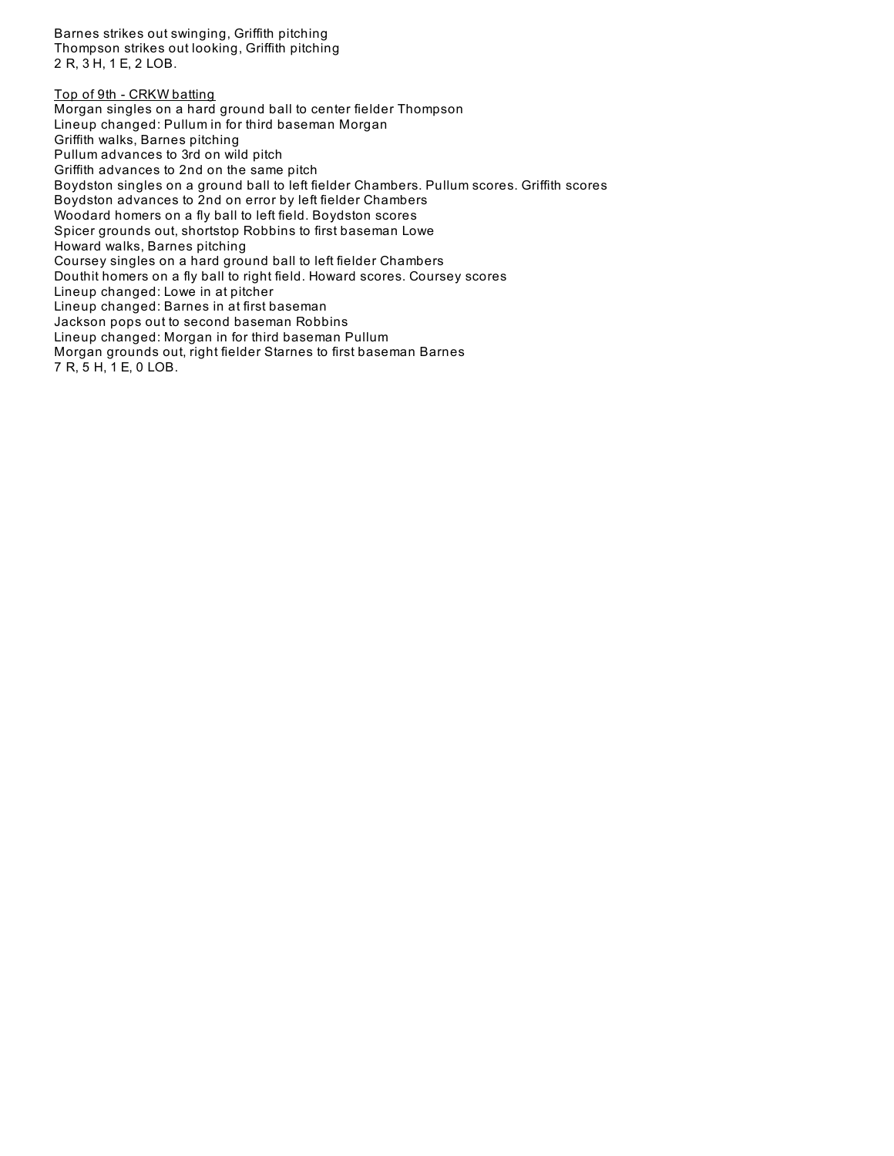Barnes strikes out swinging, Griffith pitching Thompson strikes out looking, Griffith pitching 2 R, 3 H, 1 E, 2 LOB.

Top of 9th - CRKW batting Morgan singles on a hard ground ball to center fielder Thompson Lineup changed: Pullum in for third baseman Morgan Griffith walks, Barnes pitching Pullum advances to 3rd on wild pitch Griffith advances to 2nd on the same pitch Boydston singles on a ground ball to left fielder Chambers. Pullum scores. Griffith scores Boydston advances to 2nd on error by left fielder Chambers Woodard homers on a fly ball to left field. Boydston scores Spicer grounds out, shortstop Robbins to first baseman Lowe Howard walks, Barnes pitching Coursey singles on a hard ground ball to left fielder Chambers Douthit homers on a fly ball to right field. Howard scores. Coursey scores Lineup changed: Lowe in at pitcher Lineup changed: Barnes in at first baseman Jackson pops out to second baseman Robbins Lineup changed: Morgan in for third baseman Pullum Morgan grounds out, right fielder Starnes to first baseman Barnes 7 R, 5 H, 1 E, 0 LOB.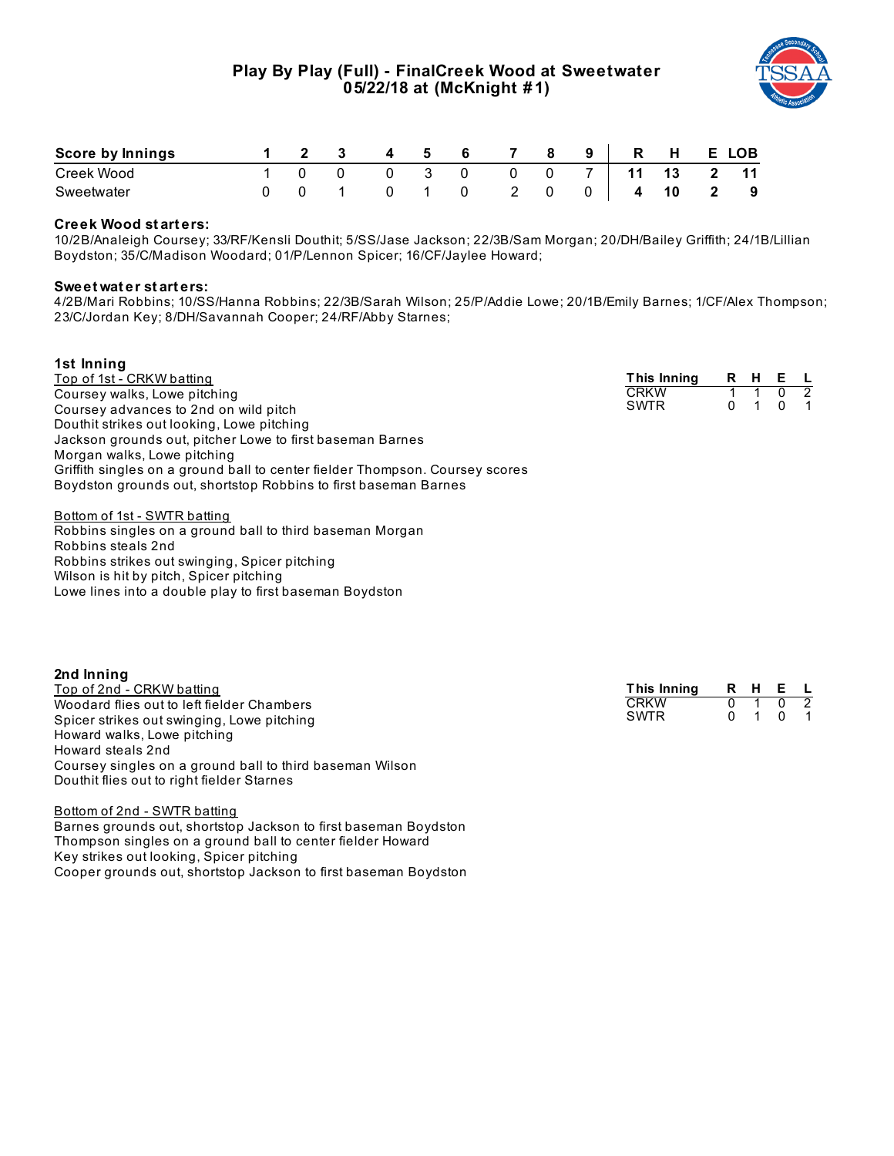

| Score by Innings |  |  | Б. | - 6 |  | 9 | R | н  | E. | <b>LOB</b> |
|------------------|--|--|----|-----|--|---|---|----|----|------------|
| Creek Wood       |  |  |    |     |  |   |   | 13 |    | 11         |
| Sweetwater       |  |  |    |     |  |   | 4 | 10 |    | - 9        |

### **Creek Wood st art ers:**

10/2B/Analeigh Coursey; 33/RF/Kensli Douthit; 5/SS/Jase Jackson; 22/3B/Sam Morgan; 20/DH/Bailey Griffith; 24/1B/Lillian Boydston; 35/C/Madison Woodard; 01/P/Lennon Spicer; 16/CF/Jaylee Howard;

#### **Sweet wat er st art ers:**

4/2B/Mari Robbins; 10/SS/Hanna Robbins; 22/3B/Sarah Wilson; 25/P/Addie Lowe; 20/1B/Emily Barnes; 1/CF/Alex Thompson; 23/C/Jordan Key; 8/DH/Savannah Cooper; 24/RF/Abby Starnes;

| 1st Inning                                                                   |             |     |     |                          |
|------------------------------------------------------------------------------|-------------|-----|-----|--------------------------|
| Top of 1st - CRKW batting                                                    | This Inning | R H | E L |                          |
| Coursey walks, Lowe pitching                                                 | <b>CRKW</b> |     |     | $\overline{\phantom{a}}$ |
| Coursey advances to 2nd on wild pitch                                        | <b>SWTR</b> |     |     | $\blacksquare$ 1         |
| Douthit strikes out looking, Lowe pitching                                   |             |     |     |                          |
| Jackson grounds out, pitcher Lowe to first baseman Barnes                    |             |     |     |                          |
| Morgan walks, Lowe pitching                                                  |             |     |     |                          |
| Griffith singles on a ground ball to center fielder Thompson. Coursey scores |             |     |     |                          |
| Boydston grounds out, shortstop Robbins to first baseman Barnes              |             |     |     |                          |
|                                                                              |             |     |     |                          |

Bottom of 1st - SWTR batting Robbins singles on a ground ball to third baseman Morgan Robbins steals 2nd Robbins strikes out swinging, Spicer pitching Wilson is hit by pitch, Spicer pitching Lowe lines into a double play to first baseman Boydston

| 2nd Inning                                               |             |       |  |  |
|----------------------------------------------------------|-------------|-------|--|--|
| Top of 2nd - CRKW batting                                | This Inning | RHE L |  |  |
| Woodard flies out to left fielder Chambers               | <b>CRKW</b> |       |  |  |
| Spicer strikes out swinging, Lowe pitching               | <b>SWTR</b> |       |  |  |
| Howard walks, Lowe pitching                              |             |       |  |  |
| Howard steals 2nd                                        |             |       |  |  |
| Coursey singles on a ground ball to third baseman Wilson |             |       |  |  |
| Douthit flies out to right fielder Starnes               |             |       |  |  |

Bottom of 2nd - SWTR batting Barnes grounds out, shortstop Jackson to first baseman Boydston Thompson singles on a ground ball to center fielder Howard Key strikes out looking, Spicer pitching Cooper grounds out, shortstop Jackson to first baseman Boydston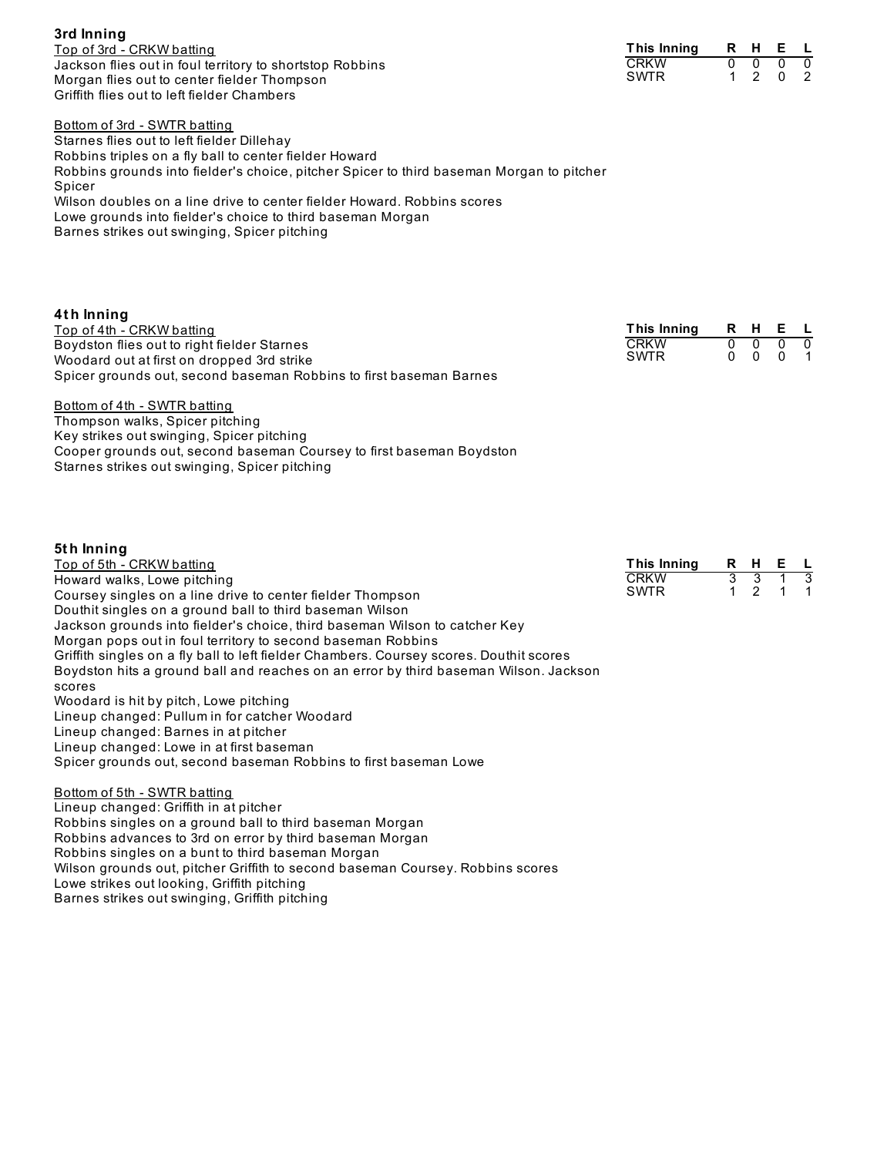**3rd Inning** Top of 3rd - CRKW batting Jackson flies out in foul territory to shortstop Robbins Morgan flies out to center fielder Thompson Griffith flies out to left fielder Chambers

**This Inning R H E L** CRKW 0 0 0 0 **SWTR** 

Bottom of 3rd - SWTR batting Starnes flies out to left fielder Dillehay Robbins triples on a fly ball to center fielder Howard Robbins grounds into fielder's choice, pitcher Spicer to third baseman Morgan to pitcher Spicer Wilson doubles on a line drive to center fielder Howard. Robbins scores Lowe grounds into fielder's choice to third baseman Morgan Barnes strikes out swinging, Spicer pitching

| 4th Inning                                                                                |                            |     |                     |           |
|-------------------------------------------------------------------------------------------|----------------------------|-----|---------------------|-----------|
| Top of 4th - CRKW batting                                                                 | This Inning R H E L        |     |                     |           |
| Boydston flies out to right fielder Starnes<br>Woodard out at first on dropped 3rd strike | <b>CRKW</b><br><b>SWTR</b> | 0 O | $\Omega$<br>0 0 0 1 | $\bigcap$ |
| Spicer grounds out, second baseman Robbins to first baseman Barnes                        |                            |     |                     |           |

Bottom of 4th - SWTR batting Thompson walks, Spicer pitching Key strikes out swinging, Spicer pitching Cooper grounds out, second baseman Coursey to first baseman Boydston Starnes strikes out swinging, Spicer pitching

### **5t h Inning**

| Top of 5th - CRKW batting                                                               | This Inning |     | R H E L     |  |
|-----------------------------------------------------------------------------------------|-------------|-----|-------------|--|
| Howard walks, Lowe pitching                                                             | <b>CRKW</b> |     | $1 \quad 3$ |  |
| Coursey singles on a line drive to center fielder Thompson                              | <b>SWTR</b> | 1 2 | 1 1         |  |
| Douthit singles on a ground ball to third baseman Wilson                                |             |     |             |  |
| Jackson grounds into fielder's choice, third baseman Wilson to catcher Key              |             |     |             |  |
| Morgan pops out in foul territory to second baseman Robbins                             |             |     |             |  |
| Griffith singles on a fly ball to left fielder Chambers. Coursey scores. Douthit scores |             |     |             |  |
| Boydston hits a ground ball and reaches on an error by third baseman Wilson. Jackson    |             |     |             |  |
| scores                                                                                  |             |     |             |  |
| AAAAAA waxaa kale kale kale waxaa kale kale waxaa waxaa kale kale wax                   |             |     |             |  |

Woodard is hit by pitch, Lowe pitching

Lineup changed: Pullum in for catcher Woodard

Lineup changed: Barnes in at pitcher

Lineup changed: Lowe in at first baseman Spicer grounds out, second baseman Robbins to first baseman Lowe

Bottom of 5th - SWTR batting

Lineup changed: Griffith in at pitcher Robbins singles on a ground ball to third baseman Morgan Robbins advances to 3rd on error by third baseman Morgan Robbins singles on a bunt to third baseman Morgan Wilson grounds out, pitcher Griffith to second baseman Coursey. Robbins scores Lowe strikes out looking, Griffith pitching Barnes strikes out swinging, Griffith pitching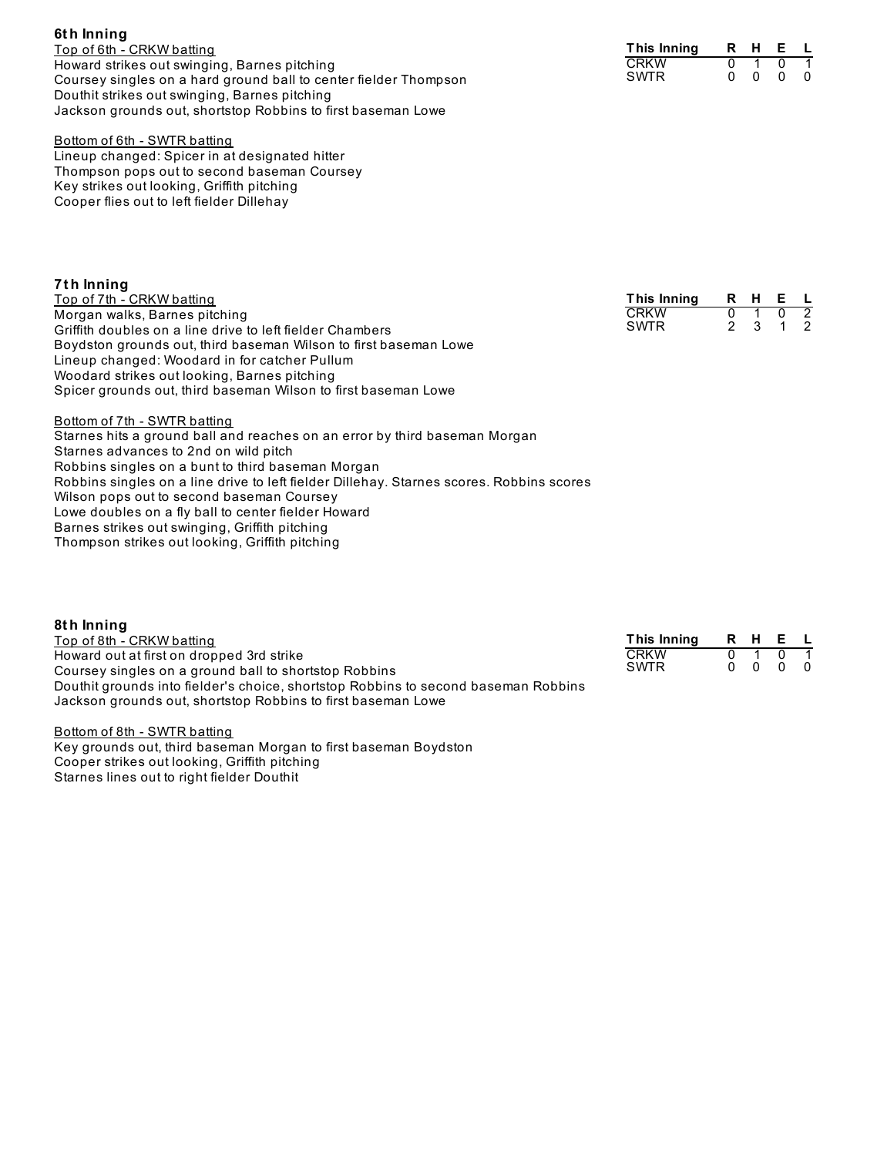| <b>b</b> un inning                                               |
|------------------------------------------------------------------|
| Top of 6th - CRKW batting                                        |
| Howard strikes out swinging, Barnes pitching                     |
| Coursey singles on a hard ground ball to center fielder Thompson |
| Douthit strikes out swinging, Barnes pitching                    |
| Jackson grounds out, shortstop Robbins to first baseman Lowe     |

#### Bottom of 6th - SWTR batting Lineup changed: Spicer in at designated hitter Thompson pops out to second baseman Coursey Key strikes out looking, Griffith pitching Cooper flies out to left fielder Dillehay

## **7t h Inning**

**6t h Inning**

Top of 7th - CRKW batting Morgan walks, Barnes pitching Griffith doubles on a line drive to left fielder Chambers Boydston grounds out, third baseman Wilson to first baseman Lowe Lineup changed: Woodard in for catcher Pullum Woodard strikes out looking, Barnes pitching Spicer grounds out, third baseman Wilson to first baseman Lowe

#### **This Inning R H E L** CRKW 0 1 0<br>SWTR 2 3 1 SWTR

Bottom of 7th - SWTR batting Starnes hits a ground ball and reaches on an error by third baseman Morgan Starnes advances to 2nd on wild pitch Robbins singles on a bunt to third baseman Morgan Robbins singles on a line drive to left fielder Dillehay. Starnes scores. Robbins scores Wilson pops out to second baseman Coursey Lowe doubles on a fly ball to center fielder Howard Barnes strikes out swinging, Griffith pitching Thompson strikes out looking, Griffith pitching

**8t h Inning** Top of 8th - CRKW batting Howard out at first on dropped 3rd strike Coursey singles on a ground ball to shortstop Robbins Douthit grounds into fielder's choice, shortstop Robbins to second baseman Robbins Jackson grounds out, shortstop Robbins to first baseman Lowe

Bottom of 8th - SWTR batting Key grounds out, third baseman Morgan to first baseman Boydston Cooper strikes out looking, Griffith pitching Starnes lines out to right fielder Douthit

| This Inning |  |  |
|-------------|--|--|
| CRKW        |  |  |
| <b>SWTR</b> |  |  |

| This Inning | R | н | E. |   |
|-------------|---|---|----|---|
| <b>CRKW</b> |   |   | n  |   |
| SWTR        |   | n | n  | n |